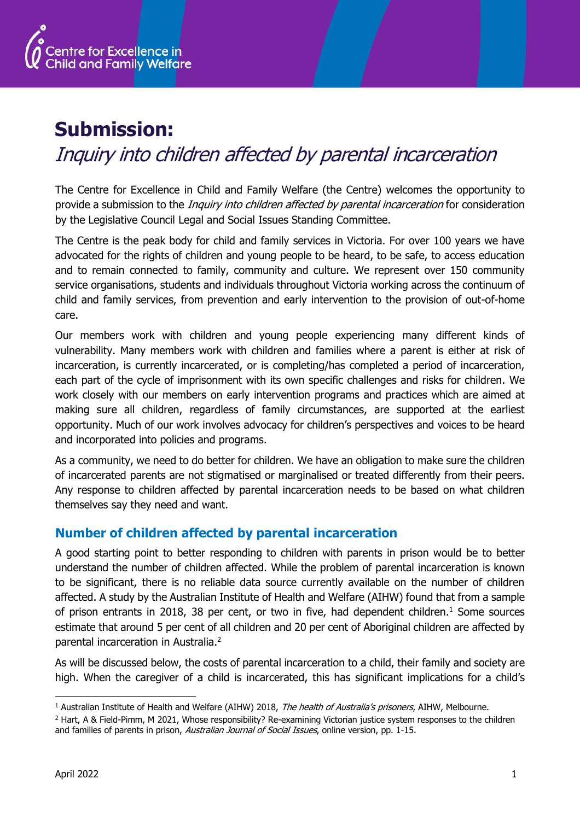

## **Submission:**

# Inquiry into children affected by parental incarceration

The Centre for Excellence in Child and Family Welfare (the Centre) welcomes the opportunity to provide a submission to the *Inquiry into children affected by parental incarceration* for consideration by the Legislative Council Legal and Social Issues Standing Committee.

The Centre is the peak body for child and family services in Victoria. For over 100 years we have advocated for the rights of children and young people to be heard, to be safe, to access education and to remain connected to family, community and culture. We represent over 150 community service organisations, students and individuals throughout Victoria working across the continuum of child and family services, from prevention and early intervention to the provision of out-of-home care.

Our members work with children and young people experiencing many different kinds of vulnerability. Many members work with children and families where a parent is either at risk of incarceration, is currently incarcerated, or is completing/has completed a period of incarceration, each part of the cycle of imprisonment with its own specific challenges and risks for children. We work closely with our members on early intervention programs and practices which are aimed at making sure all children, regardless of family circumstances, are supported at the earliest opportunity. Much of our work involves advocacy for children's perspectives and voices to be heard and incorporated into policies and programs.

As a community, we need to do better for children. We have an obligation to make sure the children of incarcerated parents are not stigmatised or marginalised or treated differently from their peers. Any response to children affected by parental incarceration needs to be based on what children themselves say they need and want.

## **Number of children affected by parental incarceration**

A good starting point to better responding to children with parents in prison would be to better understand the number of children affected. While the problem of parental incarceration is known to be significant, there is no reliable data source currently available on the number of children affected. A study by the Australian Institute of Health and Welfare (AIHW) found that from a sample of prison entrants in 2018, 38 per cent, or two in five, had dependent children.<sup>1</sup> Some sources estimate that around 5 per cent of all children and 20 per cent of Aboriginal children are affected by parental incarceration in Australia. 2

As will be discussed below, the costs of parental incarceration to a child, their family and society are high. When the caregiver of a child is incarcerated, this has significant implications for a child's

<sup>&</sup>lt;sup>1</sup> Australian Institute of Health and Welfare (AIHW) 2018, The health of Australia's prisoners, AIHW, Melbourne.

<sup>&</sup>lt;sup>2</sup> Hart, A & Field-Pimm, M 2021, Whose responsibility? Re-examining Victorian justice system responses to the children and families of parents in prison, Australian Journal of Social Issues, online version, pp. 1-15.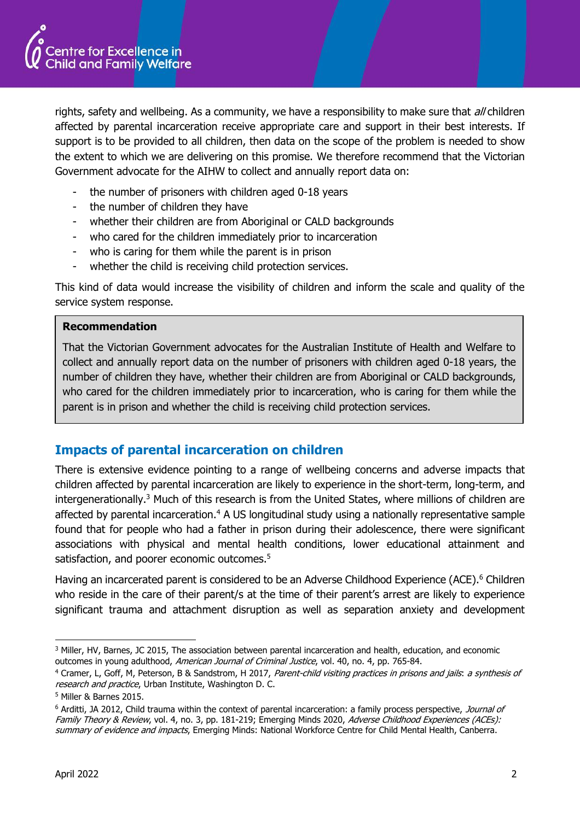

rights, safety and wellbeing. As a community, we have a responsibility to make sure that all children affected by parental incarceration receive appropriate care and support in their best interests. If support is to be provided to all children, then data on the scope of the problem is needed to show the extent to which we are delivering on this promise. We therefore recommend that the Victorian Government advocate for the AIHW to collect and annually report data on:

- the number of prisoners with children aged 0-18 years
- the number of children they have
- whether their children are from Aboriginal or CALD backgrounds
- who cared for the children immediately prior to incarceration
- who is caring for them while the parent is in prison
- whether the child is receiving child protection services.

This kind of data would increase the visibility of children and inform the scale and quality of the service system response.

#### **Recommendation**

That the Victorian Government advocates for the Australian Institute of Health and Welfare to collect and annually report data on the number of prisoners with children aged 0-18 years, the number of children they have, whether their children are from Aboriginal or CALD backgrounds, who cared for the children immediately prior to incarceration, who is caring for them while the parent is in prison and whether the child is receiving child protection services.

### **Impacts of parental incarceration on children**

There is extensive evidence pointing to a range of wellbeing concerns and adverse impacts that children affected by parental incarceration are likely to experience in the short-term, long-term, and intergenerationally.<sup>3</sup> Much of this research is from the United States, where millions of children are affected by parental incarceration.<sup>4</sup> A US longitudinal study using a nationally representative sample found that for people who had a father in prison during their adolescence, there were significant associations with physical and mental health conditions, lower educational attainment and satisfaction, and poorer economic outcomes.<sup>5</sup>

Having an incarcerated parent is considered to be an Adverse Childhood Experience (ACE).<sup>6</sup> Children who reside in the care of their parent/s at the time of their parent's arrest are likely to experience significant trauma and attachment disruption as well as separation anxiety and development

<sup>3</sup> Miller, HV, Barnes, JC 2015, The association between parental incarceration and health, education, and economic outcomes in young adulthood, American Journal of Criminal Justice, vol. 40, no. 4, pp. 765-84.

<sup>4</sup> Cramer, L, Goff, M, Peterson, B & Sandstrom, H 2017, Parent-child visiting practices in prisons and jails: a synthesis of research and practice, Urban Institute, Washington D. C.

<sup>5</sup> Miller & Barnes 2015.

<sup>&</sup>lt;sup>6</sup> Arditti, JA 2012, Child trauma within the context of parental incarceration: a family process perspective, Journal of Family Theory & Review, vol. 4, no. 3, pp. 181-219; Emerging Minds 2020, Adverse Childhood Experiences (ACEs): summary of evidence and impacts, Emerging Minds: National Workforce Centre for Child Mental Health, Canberra.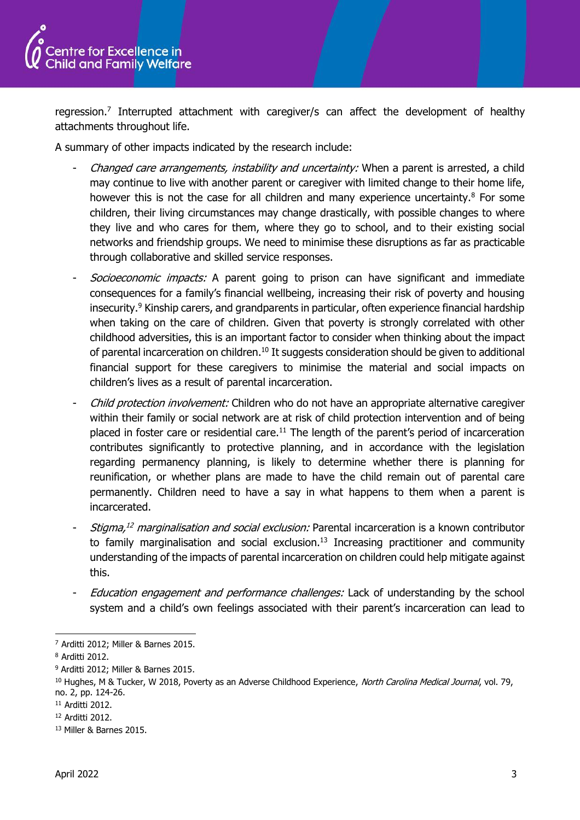

regression.<sup>7</sup> Interrupted attachment with caregiver/s can affect the development of healthy attachments throughout life.

A summary of other impacts indicated by the research include:

- Changed care arrangements, instability and uncertainty: When a parent is arrested, a child may continue to live with another parent or caregiver with limited change to their home life, however this is not the case for all children and many experience uncertainty. $8$  For some children, their living circumstances may change drastically, with possible changes to where they live and who cares for them, where they go to school, and to their existing social networks and friendship groups. We need to minimise these disruptions as far as practicable through collaborative and skilled service responses.
- Socioeconomic impacts: A parent going to prison can have significant and immediate consequences for a family's financial wellbeing, increasing their risk of poverty and housing insecurity. $9$  Kinship carers, and grandparents in particular, often experience financial hardship when taking on the care of children. Given that poverty is strongly correlated with other childhood adversities, this is an important factor to consider when thinking about the impact of parental incarceration on children.<sup>10</sup> It suggests consideration should be given to additional financial support for these caregivers to minimise the material and social impacts on children's lives as a result of parental incarceration.
- Child protection involvement: Children who do not have an appropriate alternative caregiver within their family or social network are at risk of child protection intervention and of being placed in foster care or residential care.<sup>11</sup> The length of the parent's period of incarceration contributes significantly to protective planning, and in accordance with the legislation regarding permanency planning, is likely to determine whether there is planning for reunification, or whether plans are made to have the child remain out of parental care permanently. Children need to have a say in what happens to them when a parent is incarcerated.
- Stigma,<sup>12</sup> marginalisation and social exclusion: Parental incarceration is a known contributor to family marginalisation and social exclusion. $13$  Increasing practitioner and community understanding of the impacts of parental incarceration on children could help mitigate against this.
- Education engagement and performance challenges: Lack of understanding by the school system and a child's own feelings associated with their parent's incarceration can lead to

<sup>7</sup> Arditti 2012; Miller & Barnes 2015.

<sup>8</sup> Arditti 2012.

<sup>9</sup> Arditti 2012; Miller & Barnes 2015.

<sup>&</sup>lt;sup>10</sup> Hughes, M & Tucker, W 2018, Poverty as an Adverse Childhood Experience, North Carolina Medical Journal, vol. 79, no. 2, pp. 124-26.

<sup>11</sup> Arditti 2012.

<sup>12</sup> Arditti 2012.

<sup>13</sup> Miller & Barnes 2015.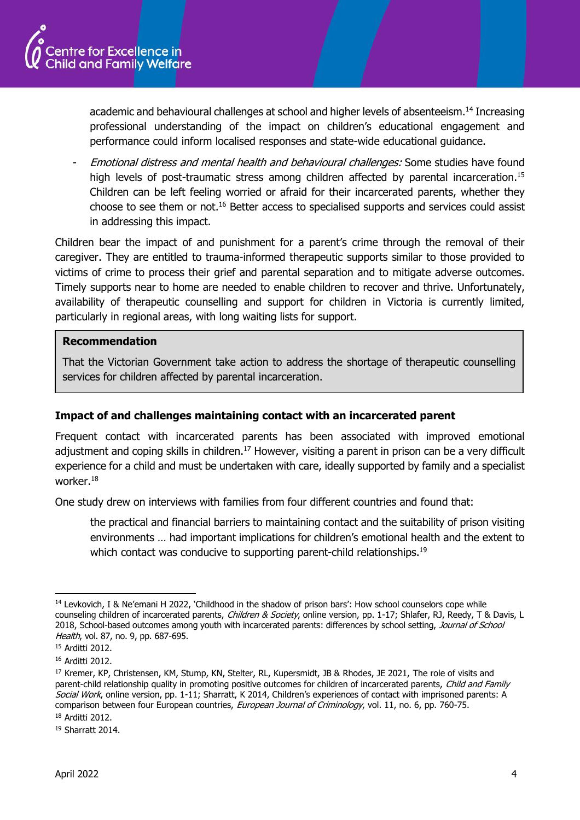

academic and behavioural challenges at school and higher levels of absenteeism.<sup>14</sup> Increasing professional understanding of the impact on children's educational engagement and performance could inform localised responses and state-wide educational guidance.

Emotional distress and mental health and behavioural challenges: Some studies have found high levels of post-traumatic stress among children affected by parental incarceration. 15 Children can be left feeling worried or afraid for their incarcerated parents, whether they choose to see them or not.<sup>16</sup> Better access to specialised supports and services could assist in addressing this impact.

Children bear the impact of and punishment for a parent's crime through the removal of their caregiver. They are entitled to trauma-informed therapeutic supports similar to those provided to victims of crime to process their grief and parental separation and to mitigate adverse outcomes. Timely supports near to home are needed to enable children to recover and thrive. Unfortunately, availability of therapeutic counselling and support for children in Victoria is currently limited, particularly in regional areas, with long waiting lists for support.

#### **Recommendation**

That the Victorian Government take action to address the shortage of therapeutic counselling services for children affected by parental incarceration.

#### **Impact of and challenges maintaining contact with an incarcerated parent**

Frequent contact with incarcerated parents has been associated with improved emotional adjustment and coping skills in children.<sup>17</sup> However, visiting a parent in prison can be a very difficult experience for a child and must be undertaken with care, ideally supported by family and a specialist worker.<sup>18</sup>

One study drew on interviews with families from four different countries and found that:

the practical and financial barriers to maintaining contact and the suitability of prison visiting environments … had important implications for children's emotional health and the extent to which contact was conducive to supporting parent-child relationships.<sup>19</sup>

<sup>19</sup> Sharratt 2014.

<sup>14</sup> Levkovich, I & Ne'emani H 2022, 'Childhood in the shadow of prison bars': How school counselors cope while counseling children of incarcerated parents, Children & Society, online version, pp. 1-17; Shlafer, RJ, Reedy, T & Davis, L 2018, School-based outcomes among youth with incarcerated parents: differences by school setting, Journal of School Health, vol. 87, no. 9, pp. 687-695.

<sup>15</sup> Arditti 2012.

<sup>16</sup> Arditti 2012.

<sup>&</sup>lt;sup>17</sup> Kremer, KP, Christensen, KM, Stump, KN, Stelter, RL, Kupersmidt, JB & Rhodes, JE 2021, The role of visits and parent-child relationship quality in promoting positive outcomes for children of incarcerated parents, Child and Family Social Work, online version, pp. 1-11; Sharratt, K 2014, Children's experiences of contact with imprisoned parents: A comparison between four European countries, *European Journal of Criminology*, vol. 11, no. 6, pp. 760-75. <sup>18</sup> Arditti 2012.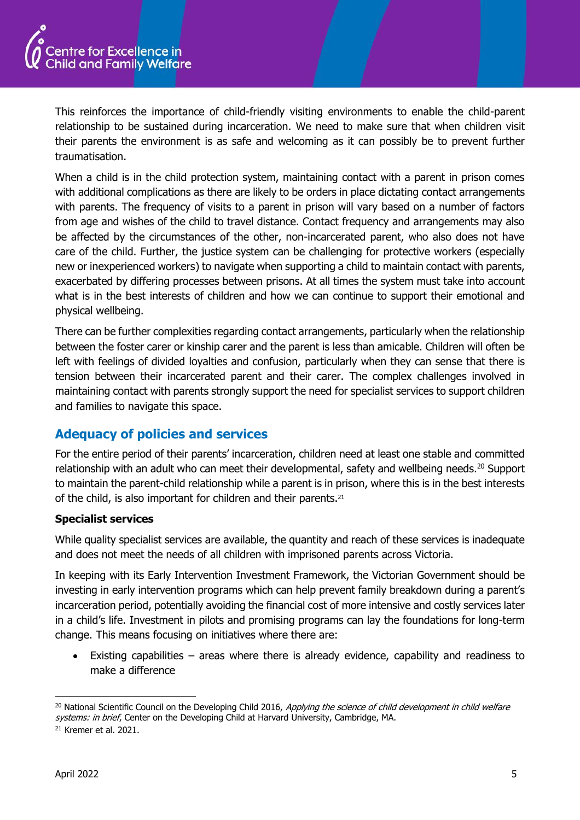

This reinforces the importance of child-friendly visiting environments to enable the child-parent relationship to be sustained during incarceration. We need to make sure that when children visit their parents the environment is as safe and welcoming as it can possibly be to prevent further traumatisation.

When a child is in the child protection system, maintaining contact with a parent in prison comes with additional complications as there are likely to be orders in place dictating contact arrangements with parents. The frequency of visits to a parent in prison will vary based on a number of factors from age and wishes of the child to travel distance. Contact frequency and arrangements may also be affected by the circumstances of the other, non-incarcerated parent, who also does not have care of the child. Further, the justice system can be challenging for protective workers (especially new or inexperienced workers) to navigate when supporting a child to maintain contact with parents, exacerbated by differing processes between prisons. At all times the system must take into account what is in the best interests of children and how we can continue to support their emotional and physical wellbeing.

There can be further complexities regarding contact arrangements, particularly when the relationship between the foster carer or kinship carer and the parent is less than amicable. Children will often be left with feelings of divided loyalties and confusion, particularly when they can sense that there is tension between their incarcerated parent and their carer. The complex challenges involved in maintaining contact with parents strongly support the need for specialist services to support children and families to navigate this space.

## **Adequacy of policies and services**

For the entire period of their parents' incarceration, children need at least one stable and committed relationship with an adult who can meet their developmental, safety and wellbeing needs. <sup>20</sup> Support to maintain the parent-child relationship while a parent is in prison, where this is in the best interests of the child, is also important for children and their parents.<sup>21</sup>

#### **Specialist services**

While quality specialist services are available, the quantity and reach of these services is inadequate and does not meet the needs of all children with imprisoned parents across Victoria.

In keeping with its Early Intervention Investment Framework, the Victorian Government should be investing in early intervention programs which can help prevent family breakdown during a parent's incarceration period, potentially avoiding the financial cost of more intensive and costly services later in a child's life. Investment in pilots and promising programs can lay the foundations for long-term change. This means focusing on initiatives where there are:

Existing capabilities  $-$  areas where there is already evidence, capability and readiness to make a difference

<sup>&</sup>lt;sup>20</sup> National Scientific Council on the Developing Child 2016, Applying the science of child development in child welfare systems: in brief, Center on the Developing Child at Harvard University, Cambridge, MA.

<sup>21</sup> Kremer et al. 2021.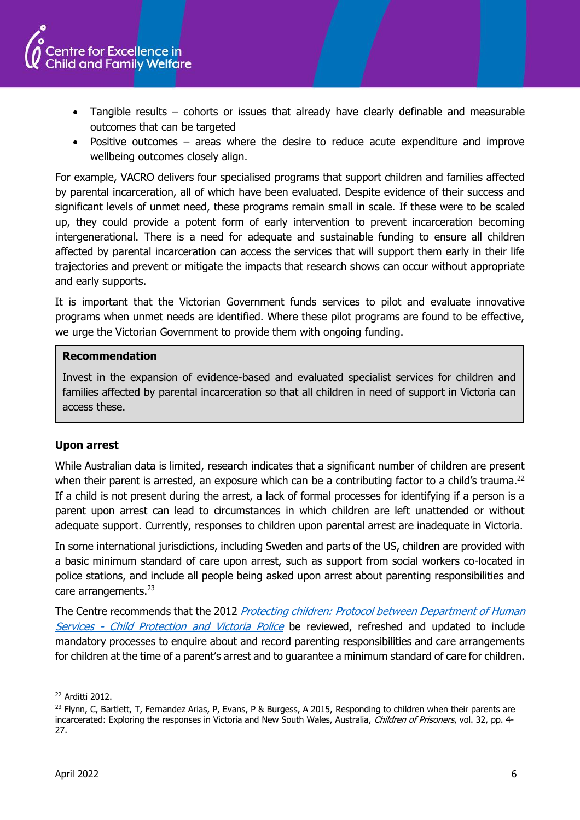

- Tangible results cohorts or issues that already have clearly definable and measurable outcomes that can be targeted
- Positive outcomes areas where the desire to reduce acute expenditure and improve wellbeing outcomes closely align.

For example, VACRO delivers four specialised programs that support children and families affected by parental incarceration, all of which have been evaluated. Despite evidence of their success and significant levels of unmet need, these programs remain small in scale. If these were to be scaled up, they could provide a potent form of early intervention to prevent incarceration becoming intergenerational. There is a need for adequate and sustainable funding to ensure all children affected by parental incarceration can access the services that will support them early in their life trajectories and prevent or mitigate the impacts that research shows can occur without appropriate and early supports.

It is important that the Victorian Government funds services to pilot and evaluate innovative programs when unmet needs are identified. Where these pilot programs are found to be effective, we urge the Victorian Government to provide them with ongoing funding.

#### **Recommendation**

Invest in the expansion of evidence-based and evaluated specialist services for children and families affected by parental incarceration so that all children in need of support in Victoria can access these.

#### **Upon arrest**

While Australian data is limited, research indicates that a significant number of children are present when their parent is arrested, an exposure which can be a contributing factor to a child's trauma.<sup>22</sup> If a child is not present during the arrest, a lack of formal processes for identifying if a person is a parent upon arrest can lead to circumstances in which children are left unattended or without adequate support. Currently, responses to children upon parental arrest are inadequate in Victoria.

In some international jurisdictions, including Sweden and parts of the US, children are provided with a basic minimum standard of care upon arrest, such as support from social workers co-located in police stations, and include all people being asked upon arrest about parenting responsibilities and care arrangements.<sup>23</sup>

The Centre recommends that the 2012 Protecting children: Protocol between Department of Human Services - [Child Protection and Victoria Police](https://www.dhhs.vic.gov.au/sites/default/files/documents/201706/Protecting-Children-CP-and-VicPol-protocol-2012.pdf) be reviewed, refreshed and updated to include mandatory processes to enquire about and record parenting responsibilities and care arrangements for children at the time of a parent's arrest and to guarantee a minimum standard of care for children.

<sup>22</sup> Arditti 2012.

<sup>&</sup>lt;sup>23</sup> Flynn, C, Bartlett, T, Fernandez Arias, P, Evans, P & Burgess, A 2015, Responding to children when their parents are incarcerated: Exploring the responses in Victoria and New South Wales, Australia, Children of Prisoners, vol. 32, pp. 4-27.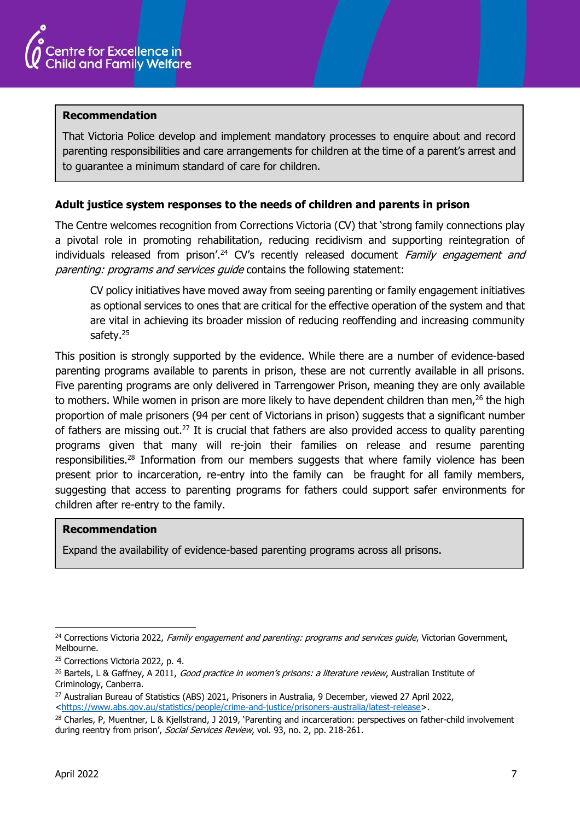

#### **Recommendation**

That Victoria Police develop and implement mandatory processes to enquire about and record parenting responsibilities and care arrangements for children at the time of a parent's arrest and to guarantee a minimum standard of care for children.

#### **Adult justice system responses to the needs of children and parents in prison**

The Centre welcomes recognition from Corrections Victoria (CV) that 'strong family connections play a pivotal role in promoting rehabilitation, reducing recidivism and supporting reintegration of individuals released from prison'.<sup>24</sup> CV's recently released document Family engagement and parenting: programs and services guide contains the following statement:

CV policy initiatives have moved away from seeing parenting or family engagement initiatives as optional services to ones that are critical for the effective operation of the system and that are vital in achieving its broader mission of reducing reoffending and increasing community safety.<sup>25</sup>

This position is strongly supported by the evidence. While there are a number of evidence-based parenting programs available to parents in prison, these are not currently available in all prisons. Five parenting programs are only delivered in Tarrengower Prison, meaning they are only available to mothers. While women in prison are more likely to have dependent children than men,<sup>26</sup> the high proportion of male prisoners (94 per cent of Victorians in prison) suggests that a significant number of fathers are missing out.<sup>27</sup> It is crucial that fathers are also provided access to quality parenting programs given that many will re-join their families on release and resume parenting responsibilities.<sup>28</sup> Information from our members suggests that where family violence has been present prior to incarceration, re-entry into the family can be fraught for all family members, suggesting that access to parenting programs for fathers could support safer environments for children after re-entry to the family.

#### **Recommendation**

Expand the availability of evidence-based parenting programs across all prisons.

<sup>&</sup>lt;sup>24</sup> Corrections Victoria 2022, Family engagement and parenting: programs and services guide, Victorian Government, Melbourne.

<sup>&</sup>lt;sup>25</sup> Corrections Victoria 2022, p. 4.

<sup>&</sup>lt;sup>26</sup> Bartels, L & Gaffney, A 2011, Good practice in women's prisons: a literature review, Australian Institute of Criminology, Canberra.

<sup>&</sup>lt;sup>27</sup> Australian Bureau of Statistics (ABS) 2021, Prisoners in Australia, 9 December, viewed 27 April 2022, [<https://www.abs.gov.au/statistics/people/crime-and-justice/prisoners-australia/latest-release>](https://www.abs.gov.au/statistics/people/crime-and-justice/prisoners-australia/latest-release).

<sup>28</sup> Charles, P, Muentner, L & Kjellstrand, J 2019, 'Parenting and incarceration: perspectives on father-child involvement during reentry from prison', Social Services Review, vol. 93, no. 2, pp. 218-261.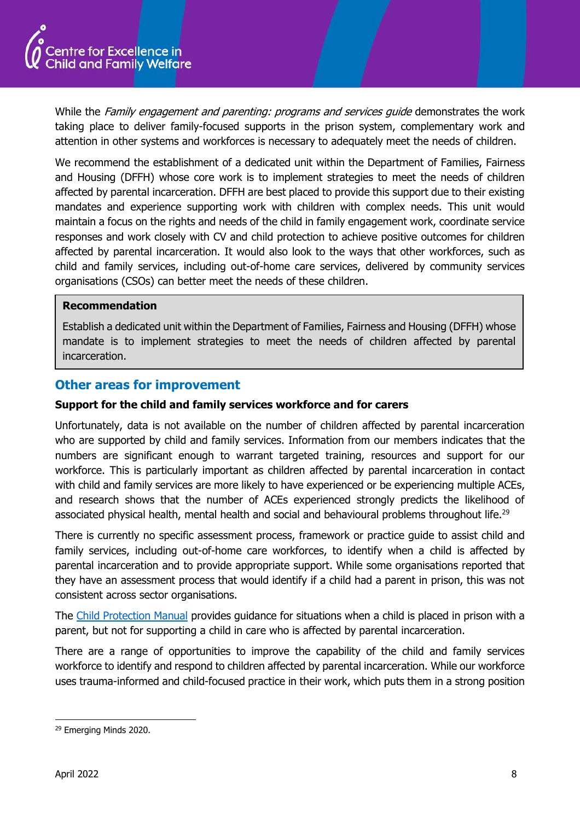

While the Family engagement and parenting: programs and services guide demonstrates the work taking place to deliver family-focused supports in the prison system, complementary work and attention in other systems and workforces is necessary to adequately meet the needs of children.

We recommend the establishment of a dedicated unit within the Department of Families, Fairness and Housing (DFFH) whose core work is to implement strategies to meet the needs of children affected by parental incarceration. DFFH are best placed to provide this support due to their existing mandates and experience supporting work with children with complex needs. This unit would maintain a focus on the rights and needs of the child in family engagement work, coordinate service responses and work closely with CV and child protection to achieve positive outcomes for children affected by parental incarceration. It would also look to the ways that other workforces, such as child and family services, including out-of-home care services, delivered by community services organisations (CSOs) can better meet the needs of these children.

#### **Recommendation**

Establish a dedicated unit within the Department of Families, Fairness and Housing (DFFH) whose mandate is to implement strategies to meet the needs of children affected by parental incarceration.

#### **Other areas for improvement**

#### **Support for the child and family services workforce and for carers**

Unfortunately, data is not available on the number of children affected by parental incarceration who are supported by child and family services. Information from our members indicates that the numbers are significant enough to warrant targeted training, resources and support for our workforce. This is particularly important as children affected by parental incarceration in contact with child and family services are more likely to have experienced or be experiencing multiple ACEs, and research shows that the number of ACEs experienced strongly predicts the likelihood of associated physical health, mental health and social and behavioural problems throughout life.<sup>29</sup>

There is currently no specific assessment process, framework or practice guide to assist child and family services, including out-of-home care workforces, to identify when a child is affected by parental incarceration and to provide appropriate support. While some organisations reported that they have an assessment process that would identify if a child had a parent in prison, this was not consistent across sector organisations.

The [Child Protection Manual](https://www.cpmanual.vic.gov.au/) provides guidance for situations when a child is placed in prison with a parent, but not for supporting a child in care who is affected by parental incarceration.

There are a range of opportunities to improve the capability of the child and family services workforce to identify and respond to children affected by parental incarceration. While our workforce uses trauma-informed and child-focused practice in their work, which puts them in a strong position

<sup>&</sup>lt;sup>29</sup> Emerging Minds 2020.